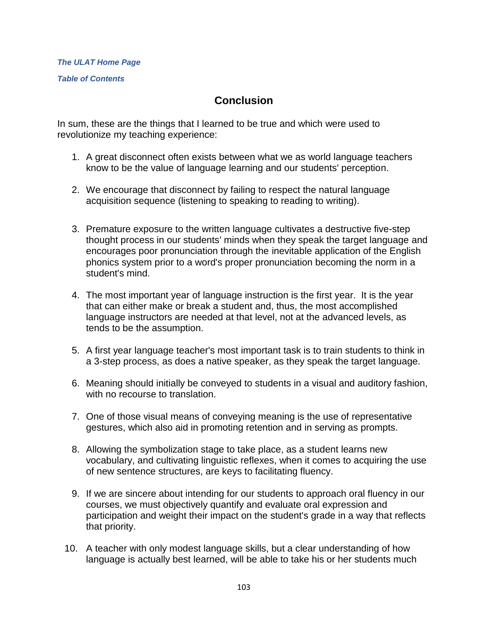## *[The ULAT Home Page](http://www.theulat.com/)*

*[Table of Contents](http://www.theulat.com/INOTHERWORDS/CONTENTS.PDF)*

## **Conclusion**

In sum, these are the things that I learned to be true and which were used to revolutionize my teaching experience:

- 1. A great disconnect often exists between what we as world language teachers know to be the value of language learning and our students' perception.
- 2. We encourage that disconnect by failing to respect the natural language acquisition sequence (listening to speaking to reading to writing).
- 3. Premature exposure to the written language cultivates a destructive five-step thought process in our students' minds when they speak the target language and encourages poor pronunciation through the inevitable application of the English phonics system prior to a word's proper pronunciation becoming the norm in a student's mind.
- 4. The most important year of language instruction is the first year. It is the year that can either make or break a student and, thus, the most accomplished language instructors are needed at that level, not at the advanced levels, as tends to be the assumption.
- 5. A first year language teacher's most important task is to train students to think in a 3-step process, as does a native speaker, as they speak the target language.
- 6. Meaning should initially be conveyed to students in a visual and auditory fashion, with no recourse to translation.
- 7. One of those visual means of conveying meaning is the use of representative gestures, which also aid in promoting retention and in serving as prompts.
- 8. Allowing the symbolization stage to take place, as a student learns new vocabulary, and cultivating linguistic reflexes, when it comes to acquiring the use of new sentence structures, are keys to facilitating fluency.
- 9. If we are sincere about intending for our students to approach oral fluency in our courses, we must objectively quantify and evaluate oral expression and participation and weight their impact on the student's grade in a way that reflects that priority.
- 10. A teacher with only modest language skills, but a clear understanding of how language is actually best learned, will be able to take his or her students much